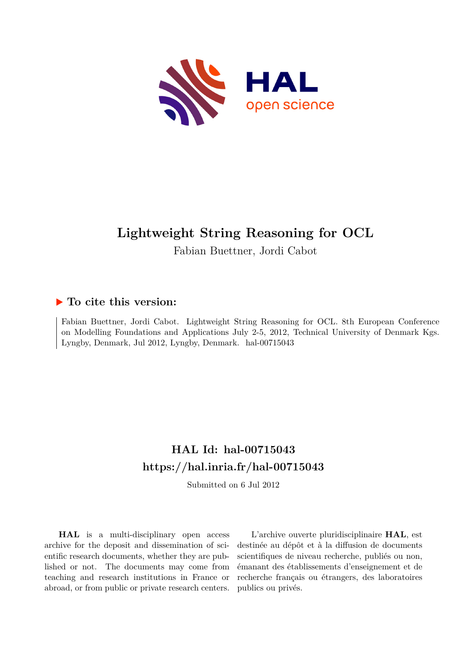

# **Lightweight String Reasoning for OCL**

Fabian Buettner, Jordi Cabot

## **To cite this version:**

Fabian Buettner, Jordi Cabot. Lightweight String Reasoning for OCL. 8th European Conference on Modelling Foundations and Applications July 2-5, 2012, Technical University of Denmark Kgs. Lyngby, Denmark, Jul 2012, Lyngby, Denmark. hal-00715043

## **HAL Id: hal-00715043 <https://hal.inria.fr/hal-00715043>**

Submitted on 6 Jul 2012

**HAL** is a multi-disciplinary open access archive for the deposit and dissemination of scientific research documents, whether they are published or not. The documents may come from teaching and research institutions in France or abroad, or from public or private research centers.

L'archive ouverte pluridisciplinaire **HAL**, est destinée au dépôt et à la diffusion de documents scientifiques de niveau recherche, publiés ou non, émanant des établissements d'enseignement et de recherche français ou étrangers, des laboratoires publics ou privés.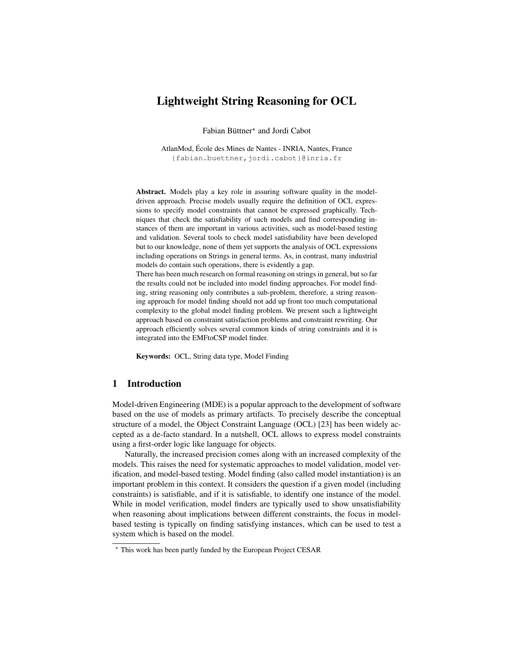## Lightweight String Reasoning for OCL

Fabian Büttner\* and Jordi Cabot

AtlanMod, École des Mines de Nantes - INRIA, Nantes, France {fabian.buettner,jordi.cabot}@inria.fr

Abstract. Models play a key role in assuring software quality in the modeldriven approach. Precise models usually require the definition of OCL expressions to specify model constraints that cannot be expressed graphically. Techniques that check the satisfiability of such models and find corresponding instances of them are important in various activities, such as model-based testing and validation. Several tools to check model satisfiability have been developed but to our knowledge, none of them yet supports the analysis of OCL expressions including operations on Strings in general terms. As, in contrast, many industrial models do contain such operations, there is evidently a gap.

There has been much research on formal reasoning on strings in general, but so far the results could not be included into model finding approaches. For model finding, string reasoning only contributes a sub-problem, therefore, a string reasoning approach for model finding should not add up front too much computational complexity to the global model finding problem. We present such a lightweight approach based on constraint satisfaction problems and constraint rewriting. Our approach efficiently solves several common kinds of string constraints and it is integrated into the EMFtoCSP model finder.

Keywords: OCL, String data type, Model Finding

## 1 Introduction

Model-driven Engineering (MDE) is a popular approach to the development of software based on the use of models as primary artifacts. To precisely describe the conceptual structure of a model, the Object Constraint Language (OCL) [23] has been widely accepted as a de-facto standard. In a nutshell, OCL allows to express model constraints using a first-order logic like language for objects.

Naturally, the increased precision comes along with an increased complexity of the models. This raises the need for systematic approaches to model validation, model verification, and model-based testing. Model finding (also called model instantiation) is an important problem in this context. It considers the question if a given model (including constraints) is satisfiable, and if it is satisfiable, to identify one instance of the model. While in model verification, model finders are typically used to show unsatisfiability when reasoning about implications between different constraints, the focus in modelbased testing is typically on finding satisfying instances, which can be used to test a system which is based on the model.

<sup>?</sup> This work has been partly funded by the European Project CESAR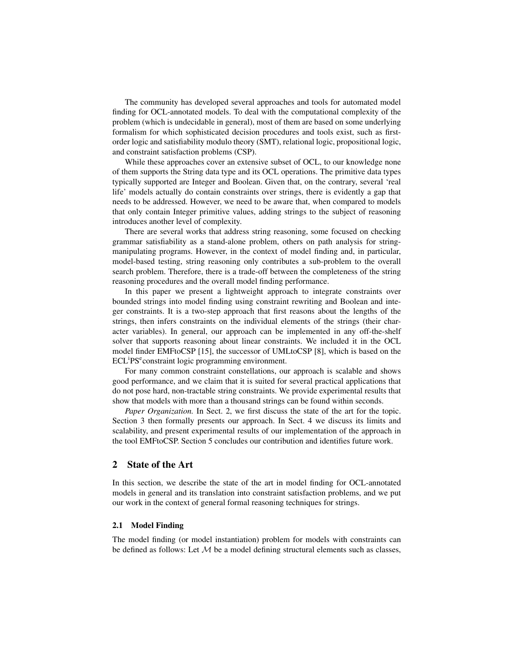The community has developed several approaches and tools for automated model finding for OCL-annotated models. To deal with the computational complexity of the problem (which is undecidable in general), most of them are based on some underlying formalism for which sophisticated decision procedures and tools exist, such as firstorder logic and satisfiability modulo theory (SMT), relational logic, propositional logic, and constraint satisfaction problems (CSP).

While these approaches cover an extensive subset of OCL, to our knowledge none of them supports the String data type and its OCL operations. The primitive data types typically supported are Integer and Boolean. Given that, on the contrary, several 'real life' models actually do contain constraints over strings, there is evidently a gap that needs to be addressed. However, we need to be aware that, when compared to models that only contain Integer primitive values, adding strings to the subject of reasoning introduces another level of complexity.

There are several works that address string reasoning, some focused on checking grammar satisfiability as a stand-alone problem, others on path analysis for stringmanipulating programs. However, in the context of model finding and, in particular, model-based testing, string reasoning only contributes a sub-problem to the overall search problem. Therefore, there is a trade-off between the completeness of the string reasoning procedures and the overall model finding performance.

In this paper we present a lightweight approach to integrate constraints over bounded strings into model finding using constraint rewriting and Boolean and integer constraints. It is a two-step approach that first reasons about the lengths of the strings, then infers constraints on the individual elements of the strings (their character variables). In general, our approach can be implemented in any off-the-shelf solver that supports reasoning about linear constraints. We included it in the OCL model finder EMFtoCSP [15], the successor of UMLtoCSP [8], which is based on the ECL<sup>i</sup>PS<sup>e</sup>constraint logic programming environment.

For many common constraint constellations, our approach is scalable and shows good performance, and we claim that it is suited for several practical applications that do not pose hard, non-tractable string constraints. We provide experimental results that show that models with more than a thousand strings can be found within seconds.

*Paper Organization.* In Sect. 2, we first discuss the state of the art for the topic. Section 3 then formally presents our approach. In Sect. 4 we discuss its limits and scalability, and present experimental results of our implementation of the approach in the tool EMFtoCSP. Section 5 concludes our contribution and identifies future work.

## 2 State of the Art

In this section, we describe the state of the art in model finding for OCL-annotated models in general and its translation into constraint satisfaction problems, and we put our work in the context of general formal reasoning techniques for strings.

#### 2.1 Model Finding

The model finding (or model instantiation) problem for models with constraints can be defined as follows: Let  $M$  be a model defining structural elements such as classes,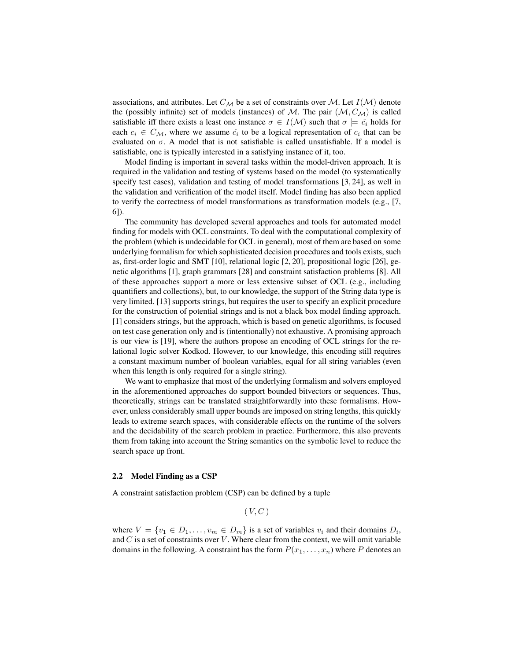associations, and attributes. Let  $C_M$  be a set of constraints over M. Let  $I(M)$  denote the (possibly infinite) set of models (instances) of M. The pair  $(M, C_M)$  is called satisfiable iff there exists a least one instance  $\sigma \in I(\mathcal{M})$  such that  $\sigma \models \hat{c}_i$  holds for each  $c_i \in C_{\mathcal{M}}$ , where we assume  $\hat{c}_i$  to be a logical representation of  $c_i$  that can be evaluated on  $\sigma$ . A model that is not satisfiable is called unsatisfiable. If a model is satisfiable, one is typically interested in a satisfying instance of it, too.

Model finding is important in several tasks within the model-driven approach. It is required in the validation and testing of systems based on the model (to systematically specify test cases), validation and testing of model transformations [3, 24], as well in the validation and verification of the model itself. Model finding has also been applied to verify the correctness of model transformations as transformation models (e.g., [7, 6]).

The community has developed several approaches and tools for automated model finding for models with OCL constraints. To deal with the computational complexity of the problem (which is undecidable for OCL in general), most of them are based on some underlying formalism for which sophisticated decision procedures and tools exists, such as, first-order logic and SMT [10], relational logic [2, 20], propositional logic [26], genetic algorithms [1], graph grammars [28] and constraint satisfaction problems [8]. All of these approaches support a more or less extensive subset of OCL (e.g., including quantifiers and collections), but, to our knowledge, the support of the String data type is very limited. [13] supports strings, but requires the user to specify an explicit procedure for the construction of potential strings and is not a black box model finding approach. [1] considers strings, but the approach, which is based on genetic algorithms, is focused on test case generation only and is (intentionally) not exhaustive. A promising approach is our view is [19], where the authors propose an encoding of OCL strings for the relational logic solver Kodkod. However, to our knowledge, this encoding still requires a constant maximum number of boolean variables, equal for all string variables (even when this length is only required for a single string).

We want to emphasize that most of the underlying formalism and solvers employed in the aforementioned approaches do support bounded bitvectors or sequences. Thus, theoretically, strings can be translated straightforwardly into these formalisms. However, unless considerably small upper bounds are imposed on string lengths, this quickly leads to extreme search spaces, with considerable effects on the runtime of the solvers and the decidability of the search problem in practice. Furthermore, this also prevents them from taking into account the String semantics on the symbolic level to reduce the search space up front.

#### 2.2 Model Finding as a CSP

A constraint satisfaction problem (CSP) can be defined by a tuple

 $(V, C)$ 

where  $V = \{v_1 \in D_1, \ldots, v_m \in D_m\}$  is a set of variables  $v_i$  and their domains  $D_i$ , and  $C$  is a set of constraints over  $V$ . Where clear from the context, we will omit variable domains in the following. A constraint has the form  $P(x_1, \ldots, x_n)$  where P denotes an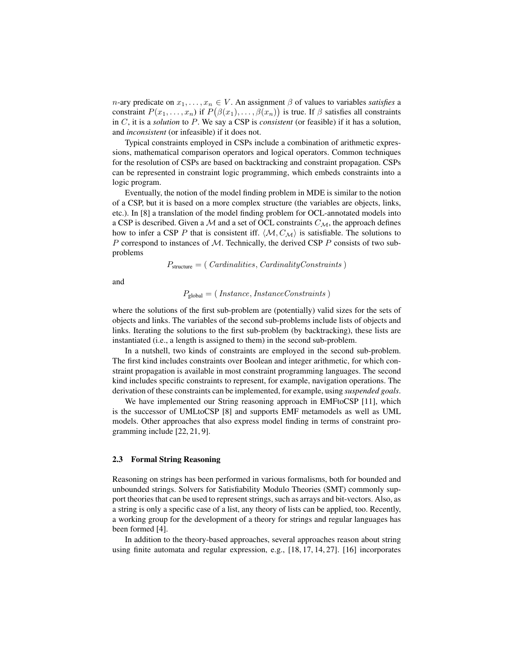*n*-ary predicate on  $x_1, \ldots, x_n \in V$ . An assignment  $\beta$  of values to variables *satisfies* a constraint  $P(x_1, \ldots, x_n)$  if  $P(\beta(x_1), \ldots, \beta(x_n))$  is true. If  $\beta$  satisfies all constraints in C, it is a *solution* to P. We say a CSP is *consistent* (or feasible) if it has a solution, and *inconsistent* (or infeasible) if it does not.

Typical constraints employed in CSPs include a combination of arithmetic expressions, mathematical comparison operators and logical operators. Common techniques for the resolution of CSPs are based on backtracking and constraint propagation. CSPs can be represented in constraint logic programming, which embeds constraints into a logic program.

Eventually, the notion of the model finding problem in MDE is similar to the notion of a CSP, but it is based on a more complex structure (the variables are objects, links, etc.). In [8] a translation of the model finding problem for OCL-annotated models into a CSP is described. Given a M and a set of OCL constraints  $C_M$ , the approach defines how to infer a CSP P that is consistent iff.  $\langle M, C_M \rangle$  is satisfiable. The solutions to P correspond to instances of  $M$ . Technically, the derived CSP P consists of two subproblems

$$
P_{structure} = (\,Cardinalities, \,CardinalityConstraints\,)
$$

and

$$
P_{\text{global}} = (Instance,InstanceConstraints)
$$

where the solutions of the first sub-problem are (potentially) valid sizes for the sets of objects and links. The variables of the second sub-problems include lists of objects and links. Iterating the solutions to the first sub-problem (by backtracking), these lists are instantiated (i.e., a length is assigned to them) in the second sub-problem.

In a nutshell, two kinds of constraints are employed in the second sub-problem. The first kind includes constraints over Boolean and integer arithmetic, for which constraint propagation is available in most constraint programming languages. The second kind includes specific constraints to represent, for example, navigation operations. The derivation of these constraints can be implemented, for example, using *suspended goals*.

We have implemented our String reasoning approach in EMFtoCSP [11], which is the successor of UMLtoCSP [8] and supports EMF metamodels as well as UML models. Other approaches that also express model finding in terms of constraint programming include [22, 21, 9].

#### 2.3 Formal String Reasoning

Reasoning on strings has been performed in various formalisms, both for bounded and unbounded strings. Solvers for Satisfiability Modulo Theories (SMT) commonly support theories that can be used to represent strings, such as arrays and bit-vectors. Also, as a string is only a specific case of a list, any theory of lists can be applied, too. Recently, a working group for the development of a theory for strings and regular languages has been formed [4].

In addition to the theory-based approaches, several approaches reason about string using finite automata and regular expression, e.g., [18, 17, 14, 27]. [16] incorporates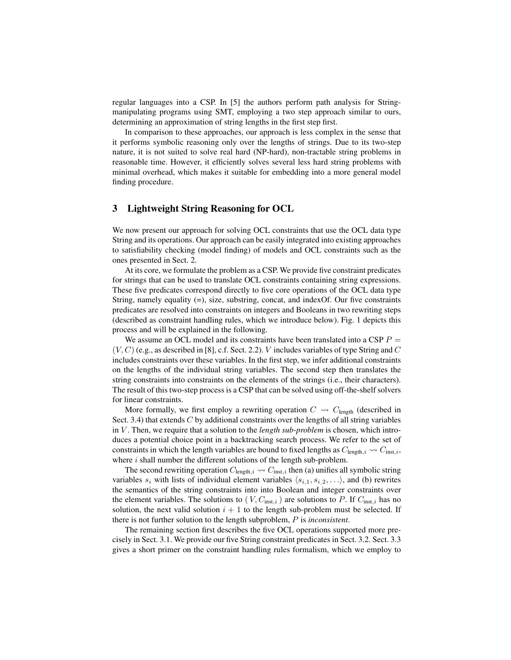regular languages into a CSP. In [5] the authors perform path analysis for Stringmanipulating programs using SMT, employing a two step approach similar to ours, determining an approximation of string lengths in the first step first.

In comparison to these approaches, our approach is less complex in the sense that it performs symbolic reasoning only over the lengths of strings. Due to its two-step nature, it is not suited to solve real hard (NP-hard), non-tractable string problems in reasonable time. However, it efficiently solves several less hard string problems with minimal overhead, which makes it suitable for embedding into a more general model finding procedure.

## 3 Lightweight String Reasoning for OCL

We now present our approach for solving OCL constraints that use the OCL data type String and its operations. Our approach can be easily integrated into existing approaches to satisfiability checking (model finding) of models and OCL constraints such as the ones presented in Sect. 2.

At its core, we formulate the problem as a CSP. We provide five constraint predicates for strings that can be used to translate OCL constraints containing string expressions. These five predicates correspond directly to five core operations of the OCL data type String, namely equality  $(=)$ , size, substring, concat, and index Of. Our five constraints predicates are resolved into constraints on integers and Booleans in two rewriting steps (described as constraint handling rules, which we introduce below). Fig. 1 depicts this process and will be explained in the following.

We assume an OCL model and its constraints have been translated into a CSP  $P =$  $(V, C)$  (e.g., as described in [8], c.f. Sect. 2.2). V includes variables of type String and C includes constraints over these variables. In the first step, we infer additional constraints on the lengths of the individual string variables. The second step then translates the string constraints into constraints on the elements of the strings (i.e., their characters). The result of this two-step process is a CSP that can be solved using off-the-shelf solvers for linear constraints.

More formally, we first employ a rewriting operation  $C \leadsto C_{\text{length}}$  (described in Sect. 3.4) that extends  $C$  by additional constraints over the lengths of all string variables in V. Then, we require that a solution to the *length sub-problem* is chosen, which introduces a potential choice point in a backtracking search process. We refer to the set of constraints in which the length variables are bound to fixed lengths as  $C_{\text{length},i} \rightarrow C_{\text{inst},i}$ , where  $i$  shall number the different solutions of the length sub-problem.

The second rewriting operation  $C_{\text{length},i} \rightsquigarrow C_{\text{inst},i}$  then (a) unifies all symbolic string variables  $s_i$  with lists of individual element variables  $\langle s_{i,1}, s_{i,2}, \ldots \rangle$ , and (b) rewrites the semantics of the string constraints into into Boolean and integer constraints over the element variables. The solutions to  $(V, C_{inst,i})$  are solutions to P. If  $C_{inst,i}$  has no solution, the next valid solution  $i + 1$  to the length sub-problem must be selected. If there is not further solution to the length subproblem, P is *inconsistent*.

The remaining section first describes the five OCL operations supported more precisely in Sect. 3.1. We provide our five String constraint predicates in Sect. 3.2. Sect. 3.3 gives a short primer on the constraint handling rules formalism, which we employ to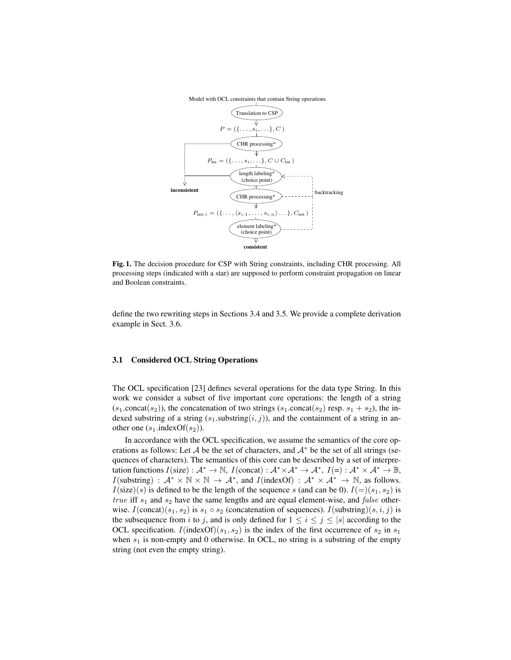Model with OCL constraints that contain String operations



Fig. 1. The decision procedure for CSP with String constraints, including CHR processing. All processing steps (indicated with a star) are supposed to perform constraint propagation on linear and Boolean constraints.

define the two rewriting steps in Sections 3.4 and 3.5. We provide a complete derivation example in Sect. 3.6.

#### 3.1 Considered OCL String Operations

The OCL specification [23] defines several operations for the data type String. In this work we consider a subset of five important core operations: the length of a string  $(s_1$ .concat $(s_2)$ ), the concatenation of two strings  $(s_1$ .concat $(s_2)$  resp.  $s_1 + s_2$ ), the indexed substring of a string  $(s_1$ , substring $(i, j)$ ), and the containment of a string in another one  $(s_1$ .indexOf $(s_2)$ ).

In accordance with the OCL specification, we assume the semantics of the core operations as follows: Let A be the set of characters, and  $A^*$  be the set of all strings (sequences of characters). The semantics of this core can be described by a set of interpretation functions  $I(\text{size}): \mathcal{A}^* \to \mathbb{N}, I(\text{concat}): \mathcal{A}^* \times \mathcal{A}^* \to \mathcal{A}^*, I(\text{=}): \mathcal{A}^* \times \mathcal{A}^* \to \mathbb{B},$ I(substring) :  $\mathcal{A}^* \times \mathbb{N} \times \mathbb{N} \to \mathcal{A}^*$ , and  $I(\text{indexOf})$  :  $\mathcal{A}^* \times \mathcal{A}^* \to \mathbb{N}$ , as follows.  $I(size)(s)$  is defined to be the length of the sequence s (and can be 0).  $I(=)(s_1, s_2)$  is *true* iff  $s_1$  and  $s_2$  have the same lengths and are equal element-wise, and *false* otherwise.  $I(\text{concat})(s_1, s_2)$  is  $s_1 \circ s_2$  (concatenation of sequences).  $I(\text{substring})(s, i, j)$  is the subsequence from i to j, and is only defined for  $1 \le i \le j \le |s|$  according to the OCL specification. I(indexOf)( $s_1, s_2$ ) is the index of the first occurrence of  $s_2$  in  $s_1$ when  $s_1$  is non-empty and 0 otherwise. In OCL, no string is a substring of the empty string (not even the empty string).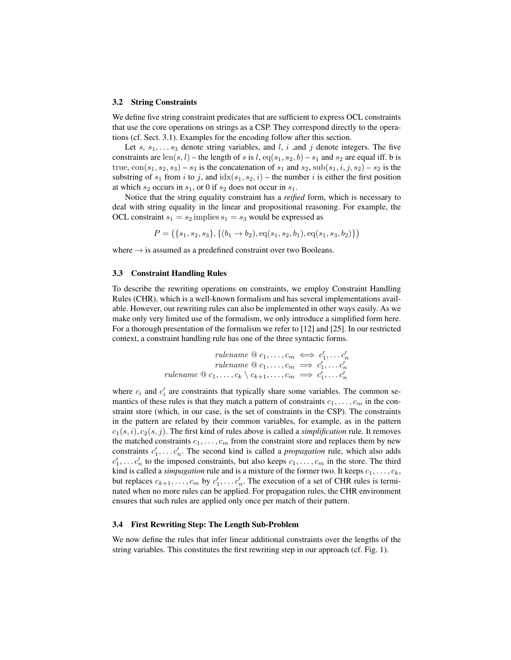#### 3.2 String Constraints

We define five string constraint predicates that are sufficient to express OCL constraints that use the core operations on strings as a CSP. They correspond directly to the operations (cf. Sect. 3.1). Examples for the encoding follow after this section.

Let s,  $s_1, \ldots s_3$  denote string variables, and l, i , and j denote integers. The five constraints are len(s, l) – the length of s is l, eq(s<sub>1</sub>, s<sub>2</sub>, b) – s<sub>1</sub> and s<sub>2</sub> are equal iff. b is true,  $con(s_1, s_2, s_3) - s_3$  is the concatenation of  $s_1$  and  $s_2$ ,  $sub(s_1, i, j, s_2) - s_2$  is the substring of  $s_1$  from i to j, and  $idx(s_1, s_2, i)$  – the number i is either the first position at which  $s_2$  occurs in  $s_1$ , or 0 if  $s_2$  does not occur in  $s_1$ .

Notice that the string equality constraint has a *reified* form, which is necessary to deal with string equality in the linear and propositional reasoning. For example, the OCL constraint  $s_1 = s_2$  implies  $s_1 = s_3$  would be expressed as

$$
P = (\{s_1, s_2, s_3\}, \{(b_1 \rightarrow b_2), \text{eq}(s_1, s_2, b_1), \text{eq}(s_1, s_3, b_2)\})
$$

where  $\rightarrow$  is assumed as a predefined constraint over two Booleans.

#### 3.3 Constraint Handling Rules

To describe the rewriting operations on constraints, we employ Constraint Handling Rules (CHR), which is a well-known formalism and has several implementations available. However, our rewriting rules can also be implemented in other ways easily. As we make only very limited use of the formalism, we only introduce a simplified form here. For a thorough presentation of the formalism we refer to [12] and [25]. In our restricted context, a constraint handling rule has one of the three syntactic forms.

$$
\begin{array}{rcl}\n\textit{rulename} \ @\ c_1,\ldots,c_m \iff c'_1,\ldots c'_n \\
\textit{rulename} \ @\ c_1,\ldots,c_m \implies c'_1,\ldots c'_n \\
\textit{rulename} \ @\ c_1,\ldots,c_k \ \ \langle\ c_{k+1},\ldots,c_m \implies c'_1,\ldots c'_n \end{array}
$$

where  $c_i$  and  $c'_i$  are constraints that typically share some variables. The common semantics of these rules is that they match a pattern of constraints  $c_1, \ldots, c_m$  in the constraint store (which, in our case, is the set of constraints in the CSP). The constraints in the pattern are related by their common variables, for example, as in the pattern  $c_1(s, i), c_2(s, j)$ . The first kind of rules above is called a *simplification* rule. It removes the matched constraints  $c_1, \ldots, c_m$  from the constraint store and replaces them by new constraints  $c'_1, \ldots c'_n$ . The second kind is called a *propagation* rule, which also adds  $c'_1, \ldots c'_n$  to the imposed constraints, but also keeps  $c_1, \ldots, c_m$  in the store. The third kind is called a *simpagation* rule and is a mixture of the former two. It keeps  $c_1, \ldots, c_k$ , but replaces  $c_{k+1}, \ldots, c_m$  by  $c'_1, \ldots c'_n$ . The execution of a set of CHR rules is terminated when no more rules can be applied. For propagation rules, the CHR environment ensures that such rules are applied only once per match of their pattern.

#### 3.4 First Rewriting Step: The Length Sub-Problem

We now define the rules that infer linear additional constraints over the lengths of the string variables. This constitutes the first rewriting step in our approach (cf. Fig. 1).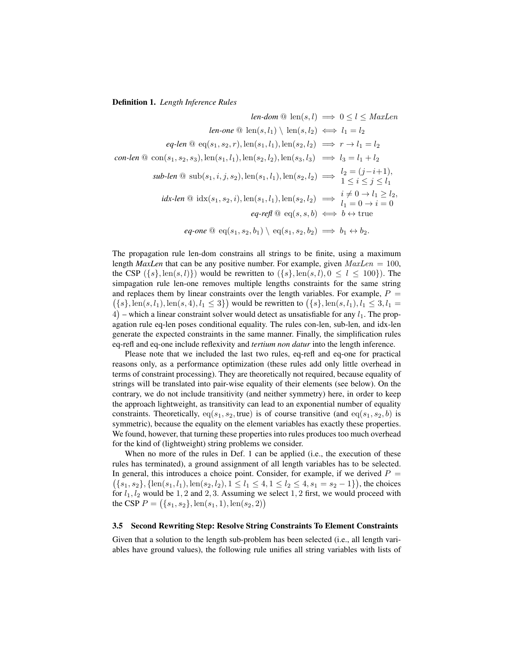#### Definition 1. *Length Inference Rules*

$$
len\text{-}dom @ len(s, l) \implies 0 \le l \le MaxLen
$$
\n
$$
len\text{-}one @ len(s, l_1) \setminus len(s, l_2) \iff l_1 = l_2
$$
\n
$$
eq\text{-}len @ eq(s_1, s_2, r), len(s_1, l_1), len(s_2, l_2) \implies r \to l_1 = l_2
$$
\n
$$
con\text{-}len @ con(s_1, s_2, s_3), len(s_1, l_1), len(s_2, l_2), len(s_3, l_3) \implies l_3 = l_1 + l_2
$$
\n
$$
sub\text{-}len @ sub(s_1, i, j, s_2), len(s_1, l_1), len(s_2, l_2) \implies \begin{aligned} l_2 &= (j - i + 1), \\ l &\le i \le j \le l_1 \end{aligned}
$$
\n
$$
idx\text{-}len @ idx(s_1, s_2, i), len(s_1, l_1), len(s_2, l_2) \implies \begin{aligned} i &\neq 0 \to l_1 \ge l_2, \\ l_1 &= 0 \to i = 0 \end{aligned}
$$
\n
$$
eq\text{-}refl @ eq(s_1, s_2, b_1) \setminus eq(s_1, s_2, b_2) \implies b_1 \leftrightarrow b_2.
$$

The propagation rule len-dom constrains all strings to be finite, using a maximum length *MaxLen* that can be any positive number. For example, given  $MaxLen = 100$ , the CSP  $({s}, \text{len}(s, l))$  would be rewritten to  $({s}, \text{len}(s, l), 0 \le l \le 100)$ . The simpagation rule len-one removes multiple lengths constraints for the same string and replaces them by linear constraints over the length variables. For example,  $P =$  $({s}, \text{len}(s, l_1), \text{len}(s, 4), l_1 \leq 3)$  would be rewritten to  $({s}, \text{len}(s, l_1), l_1 \leq 3, l_1 = 1)$  $(4)$  – which a linear constraint solver would detect as unsatisfiable for any  $l_1$ . The propagation rule eq-len poses conditional equality. The rules con-len, sub-len, and idx-len generate the expected constraints in the same manner. Finally, the simplification rules eq-refl and eq-one include reflexivity and *tertium non datur* into the length inference.

Please note that we included the last two rules, eq-refl and eq-one for practical reasons only, as a performance optimization (these rules add only little overhead in terms of constraint processing). They are theoretically not required, because equality of strings will be translated into pair-wise equality of their elements (see below). On the contrary, we do not include transitivity (and neither symmetry) here, in order to keep the approach lightweight, as transitivity can lead to an exponential number of equality constraints. Theoretically, eq( $s_1, s_2$ , true) is of course transitive (and eq( $s_1, s_2, b$ ) is symmetric), because the equality on the element variables has exactly these properties. We found, however, that turning these properties into rules produces too much overhead for the kind of (lightweight) string problems we consider.

When no more of the rules in Def. 1 can be applied (i.e., the execution of these rules has terminated), a ground assignment of all length variables has to be selected. In general, this introduces a choice point. Consider, for example, if we derived  $P =$  $({s_1, s_2}, {\text{len}}(s_1, l_1), \text{len}(s_2, l_2), 1 \le l_1 \le l_1 \le l_2 \le 4, s_1 = s_2 - 1}),$  the choices for  $l_1$ ,  $l_2$  would be 1, 2 and 2, 3. Assuming we select 1, 2 first, we would proceed with the CSP  $P = (\{s_1, s_2\}, \text{len}(s_1, 1), \text{len}(s_2, 2))$ 

#### 3.5 Second Rewriting Step: Resolve String Constraints To Element Constraints

Given that a solution to the length sub-problem has been selected (i.e., all length variables have ground values), the following rule unifies all string variables with lists of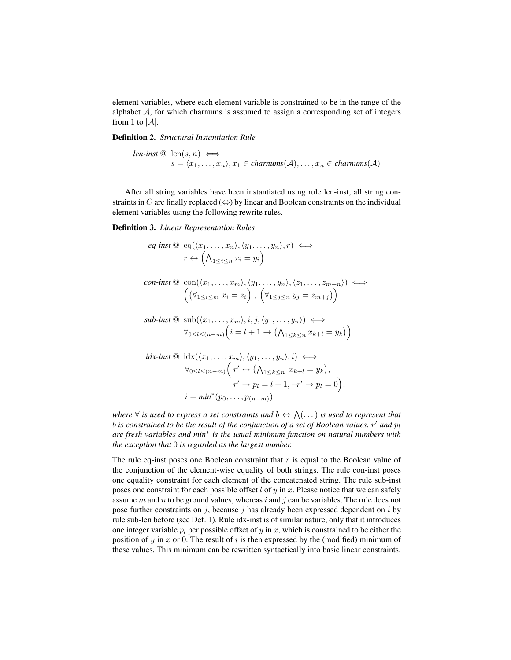element variables, where each element variable is constrained to be in the range of the alphabet  $A$ , for which charnums is assumed to assign a corresponding set of integers from 1 to  $|\mathcal{A}|$ .

Definition 2. *Structural Instantiation Rule*

$$
len-inst @ len(s, n) \iff s = \langle x_1, \dots, x_n \rangle, x_1 \in charnums(\mathcal{A}), \dots, x_n \in charnums(\mathcal{A})
$$

After all string variables have been instantiated using rule len-inst, all string constraints in C are finally replaced  $(\Leftrightarrow)$  by linear and Boolean constraints on the individual element variables using the following rewrite rules.

Definition 3. *Linear Representation Rules*

$$
eq{\text{-}inst} \ @ \ eq(\langle x_1,\ldots,x_n\rangle,\langle y_1,\ldots,y_n\rangle,r) \iff
$$

$$
r \leftrightarrow \left(\bigwedge_{1\leq i\leq n} x_i = y_i\right)
$$

*con-inst* @ con( hx1, . . . , xmi,hy1, . . . , yni,hz1, . . . , zm+ni) ⇐⇒ ∀1≤i≤<sup>m</sup> x<sup>i</sup> = z<sup>i</sup> , ∀1≤j≤<sup>n</sup> y<sup>j</sup> = zm+<sup>j</sup> 

$$
sub-inst \t\t\t@ \t\t\t\text{sub}(\langle x_1,\ldots,x_m\rangle,i,j,\langle y_1,\ldots,y_n\rangle) \iff\t\t\t\t\forall_{0\leq l\leq (n-m)}\Big(i=l+1 \to \big(\bigwedge_{1\leq k\leq n} x_{k+l} = y_k\big)\Big)
$$

$$
idx\cdot inst \; \circledcirc \; \operatorname{idx}(\langle x_1, \ldots, x_m \rangle, \langle y_1, \ldots, y_n \rangle, i) \iff
$$
  
\n
$$
\forall_{0 \le l \le (n-m)} \Big( r' \leftrightarrow \big( \bigwedge_{1 \le k \le n} x_{k+l} = y_k \big),
$$
  
\n
$$
r' \rightarrow p_l = l + 1, \neg r' \rightarrow p_l = 0 \Big),
$$
  
\n
$$
i = min^*(p_0, \ldots, p_{(n-m)})
$$

where  $\forall$  is used to express a set constraints and  $b \leftrightarrow \bigwedge(\dots)$  is used to represent that b is constrained to be the result of the conjunction of a set of Boolean values.  $r'$  and  $p_l$ *are fresh variables and min*<sup>∗</sup> *is the usual minimum function on natural numbers with the exception that* 0 *is regarded as the largest number.*

The rule eq-inst poses one Boolean constraint that  $r$  is equal to the Boolean value of the conjunction of the element-wise equality of both strings. The rule con-inst poses one equality constraint for each element of the concatenated string. The rule sub-inst poses one constraint for each possible offset  $l$  of  $y$  in  $x$ . Please notice that we can safely assume  $m$  and  $n$  to be ground values, whereas  $i$  and  $j$  can be variables. The rule does not pose further constraints on  $j$ , because  $j$  has already been expressed dependent on  $i$  by rule sub-len before (see Def. 1). Rule idx-inst is of similar nature, only that it introduces one integer variable  $p_l$  per possible offset of y in x, which is constrained to be either the position of y in x or 0. The result of i is then expressed by the (modified) minimum of these values. This minimum can be rewritten syntactically into basic linear constraints.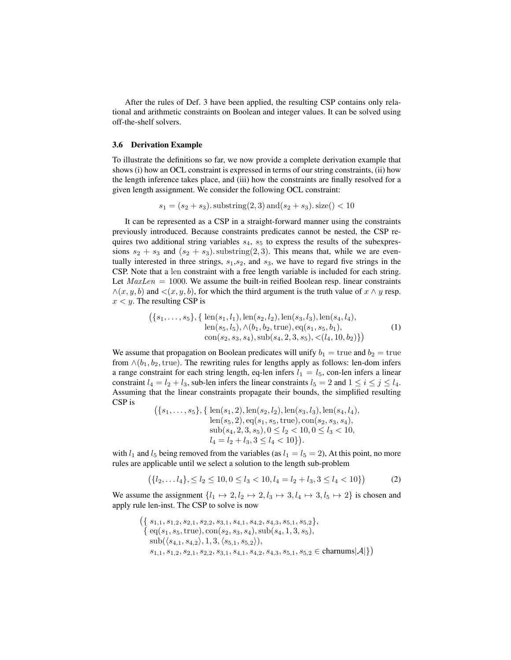After the rules of Def. 3 have been applied, the resulting CSP contains only relational and arithmetic constraints on Boolean and integer values. It can be solved using off-the-shelf solvers.

#### 3.6 Derivation Example

 $\epsilon$ 

To illustrate the definitions so far, we now provide a complete derivation example that shows (i) how an OCL constraint is expressed in terms of our string constraints, (ii) how the length inference takes place, and (iii) how the constraints are finally resolved for a given length assignment. We consider the following OCL constraint:

$$
s_1 = (s_2 + s_3)
$$
. substring(2, 3) and( $s_2 + s_3$ ). size() < 10

It can be represented as a CSP in a straight-forward manner using the constraints previously introduced. Because constraints predicates cannot be nested, the CSP requires two additional string variables  $s<sub>4</sub>$ ,  $s<sub>5</sub>$  to express the results of the subexpressions  $s_2 + s_3$  and  $(s_2 + s_3)$ . substring(2,3). This means that, while we are eventually interested in three strings,  $s_1, s_2$ , and  $s_3$ , we have to regard five strings in the CSP. Note that a len constraint with a free length variable is included for each string. Let  $MaxLen = 1000$ . We assume the built-in reified Boolean resp. linear constraints  $\land$ (x, y, b) and <(x, y, b), for which the third argument is the truth value of x  $\land$  y resp.  $x < y$ . The resulting CSP is

$$
\left(\{s_1,\ldots,s_5\},\{\text{ len}(s_1,l_1),\text{len}(s_2,l_2),\text{len}(s_3,l_3),\text{len}(s_4,l_4),\text{len}(s_5,l_5),\land(b_1,b_2,\text{true}),\text{eq}(s_1,s_5,b_1),\text{con}(s_2,s_3,s_4),\text{sub}(s_4,2,3,s_5),\langle (l_4,10,b_2)\}\right)
$$
(1)

We assume that propagation on Boolean predicates will unify  $b_1$  = true and  $b_2$  = true from  $\wedge (b_1, b_2, \text{true})$ . The rewriting rules for lengths apply as follows: len-dom infers a range constraint for each string length, eq-len infers  $l_1 = l_5$ , con-len infers a linear constraint  $l_4 = l_2 + l_3$ , sub-len infers the linear constraints  $l_5 = 2$  and  $1 \le i \le j \le l_4$ . Assuming that the linear constraints propagate their bounds, the simplified resulting CSP is

$$
\begin{aligned}\n &\left(\{s_1,\ldots,s_5\},\{\ \text{len}(s_1,2),\text{len}(s_2,l_2),\text{len}(s_3,l_3),\text{len}(s_4,l_4),\right. \\
 &\left.\ \text{len}(s_5,2),\text{eq}(s_1,s_5,\text{true}),\text{con}(s_2,s_3,s_4),\right. \\
 &\left.\ \text{sub}(s_4,2,3,s_5),0\leq l_2<10,0\leq l_3<10,\right. \\
 &\left.\ l_4=l_2+l_3,3\leq l_4<10\right\}.\n \end{aligned}
$$

with  $l_1$  and  $l_5$  being removed from the variables (as  $l_1 = l_5 = 2$ ), At this point, no more rules are applicable until we select a solution to the length sub-problem

$$
(\{l_2, \ldots l_4\}, \le l_2 \le 10, 0 \le l_3 < 10, l_4 = l_2 + l_3, 3 \le l_4 < 10\})
$$
 (2)

We assume the assignment  $\{l_1 \mapsto 2, l_2 \mapsto 2, l_3 \mapsto 3, l_4 \mapsto 3, l_5 \mapsto 2\}$  is chosen and apply rule len-inst. The CSP to solve is now

$$
\{\{s_{1,1}, s_{1,2}, s_{2,1}, s_{2,2}, s_{3,1}, s_{4,1}, s_{4,2}, s_{4,3}, s_{5,1}, s_{5,2}\},\
$$

$$
\{eq(s_1, s_5, true), con(s_2, s_3, s_4), sub(s_4, 1, 3, s_5),\
$$

$$
sub(\langle s_{4,1}, s_{4,2} \rangle, 1, 3, \langle s_{5,1}, s_{5,2} \rangle),
$$

$$
s_{1,1}, s_{1,2}, s_{2,1}, s_{2,2}, s_{3,1}, s_{4,1}, s_{4,2}, s_{4,3}, s_{5,1}, s_{5,2} \in \text{charnums}|\mathcal{A}|\}
$$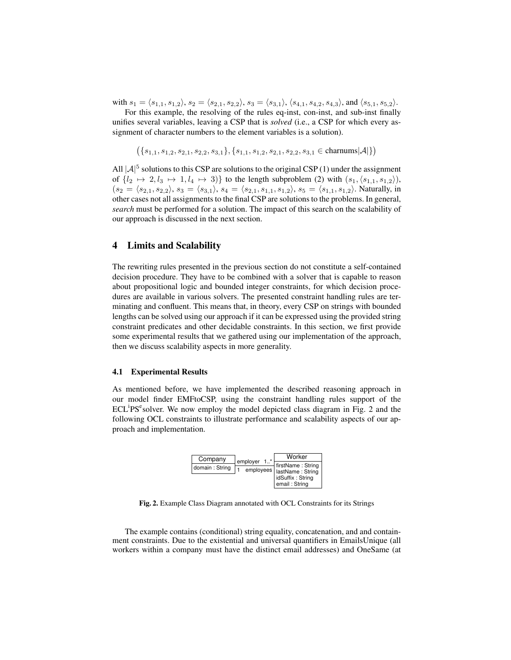with  $s_1 = \langle s_{1,1}, s_{1,2} \rangle$ ,  $s_2 = \langle s_{2,1}, s_{2,2} \rangle$ ,  $s_3 = \langle s_{3,1} \rangle$ ,  $\langle s_{4,1}, s_{4,2}, s_{4,3} \rangle$ , and  $\langle s_{5,1}, s_{5,2} \rangle$ .

For this example, the resolving of the rules eq-inst, con-inst, and sub-inst finally unifies several variables, leaving a CSP that is *solved* (i.e., a CSP for which every assignment of character numbers to the element variables is a solution).

$$
(\{s_{1,1}, s_{1,2}, s_{2,1}, s_{2,2}, s_{3,1}\}, \{s_{1,1}, s_{1,2}, s_{2,1}, s_{2,2}, s_{3,1} \in \text{charrums}|\mathcal{A}|\})
$$

All  $|A|^5$  solutions to this CSP are solutions to the original CSP (1) under the assignment of  $\{l_2 \mapsto 2, l_3 \mapsto 1, l_4 \mapsto 3\}$  to the length subproblem (2) with  $(s_1,\langle s_{1,1}, s_{1,2}\rangle)$ ,  $(s_2 = \langle s_{2,1}, s_{2,2} \rangle, s_3 = \langle s_{3,1} \rangle, s_4 = \langle s_{2,1}, s_{1,1}, s_{1,2} \rangle, s_5 = \langle s_{1,1}, s_{1,2} \rangle$ . Naturally, in other cases not all assignments to the final CSP are solutions to the problems. In general, *search* must be performed for a solution. The impact of this search on the scalability of our approach is discussed in the next section.

### 4 Limits and Scalability

The rewriting rules presented in the previous section do not constitute a self-contained decision procedure. They have to be combined with a solver that is capable to reason about propositional logic and bounded integer constraints, for which decision procedures are available in various solvers. The presented constraint handling rules are terminating and confluent. This means that, in theory, every CSP on strings with bounded lengths can be solved using our approach if it can be expressed using the provided string constraint predicates and other decidable constraints. In this section, we first provide some experimental results that we gathered using our implementation of the approach, then we discuss scalability aspects in more generality.

#### 4.1 Experimental Results

As mentioned before, we have implemented the described reasoning approach in our model finder EMFtoCSP, using the constraint handling rules support of the ECL<sup>i</sup>PS<sup>e</sup>solver. We now employ the model depicted class diagram in Fig. 2 and the following OCL constraints to illustrate performance and scalability aspects of our approach and implementation.



Fig. 2. Example Class Diagram annotated with OCL Constraints for its Strings

The example contains (conditional) string equality, concatenation, and and containment constraints. Due to the existential and universal quantifiers in EmailsUnique (all workers within a company must have the distinct email addresses) and OneSame (at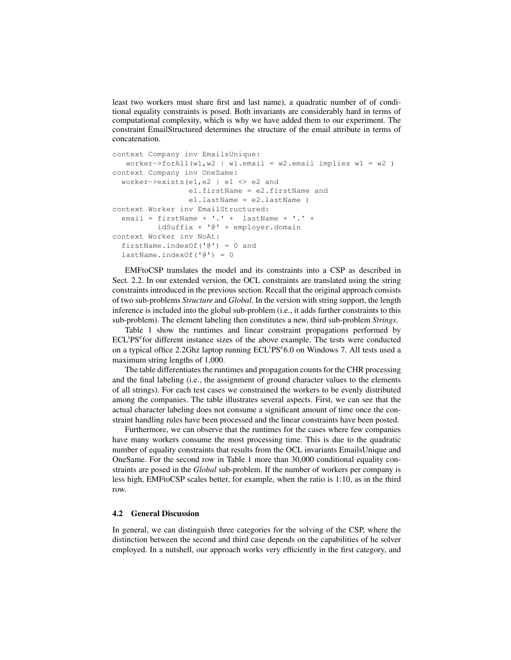least two workers must share first and last name), a quadratic number of of conditional equality constraints is posed. Both invariants are considerably hard in terms of computational complexity, which is why we have added them to our experiment. The constraint EmailStructured determines the structure of the email attribute in terms of concatenation.

```
context Company inv EmailsUnique:
  worker->forAll(w1,w2 | w1.email = w2.email implies w1 = w2)
context Company inv OneSame:
 worker->exists(e1,e2 | e1 <> e2 and
                e1.firstName = e2.firstName and
                e1.lastName = e2.lastName )
context Worker inv EmailStructured:
 email = firstName + '.' + lastName + '.' +
         idSuffix + '@' + employer.domain
context Worker inv NoAt:
 firstName.indexOf('@') = 0 and
 lastName.indexOf('@') = 0
```
EMFtoCSP translates the model and its constraints into a CSP as described in Sect. 2.2. In our extended version, the OCL constraints are translated using the string constraints introduced in the previous section. Recall that the original approach consists of two sub-problems *Structure* and *Global*. In the version with string support, the length inference is included into the global sub-problem (i.e., it adds further constraints to this sub-problem). The element labeling then constitutes a new, third sub-problem *Strings*.

Table 1 show the runtimes and linear constraint propagations performed by ECL<sup>i</sup>PS<sup>e</sup>for different instance sizes of the above example. The tests were conducted on a typical office 2.2Ghz laptop running ECL<sup>i</sup>PS<sup>e</sup>6.0 on Windows 7. All tests used a maximum string lengths of 1,000.

The table differentiates the runtimes and propagation counts for the CHR processing and the final labeling (i.e., the assignment of ground character values to the elements of all strings). For each test cases we constrained the workers to be evenly distributed among the companies. The table illustrates several aspects. First, we can see that the actual character labeling does not consume a significant amount of time once the constraint handling rules have been processed and the linear constraints have been posted.

Furthermore, we can observe that the runtimes for the cases where few companies have many workers consume the most processing time. This is due to the quadratic number of equality constraints that results from the OCL invariants EmailsUnique and OneSame. For the second row in Table 1 more than 30,000 conditional equality constraints are posed in the *Global* sub-problem. If the number of workers per company is less high, EMFtoCSP scales better, for example, when the ratio is 1:10, as in the third row.

### 4.2 General Discussion

In general, we can distinguish three categories for the solving of the CSP, where the distinction between the second and third case depends on the capabilities of he solver employed. In a nutshell, our approach works very efficiently in the first category, and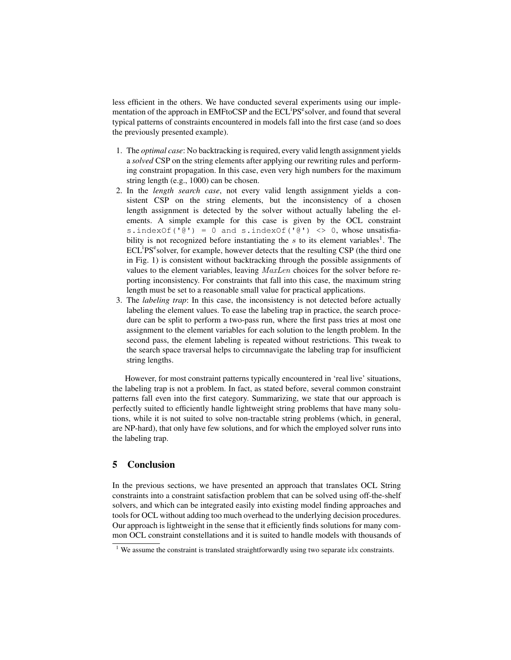less efficient in the others. We have conducted several experiments using our implementation of the approach in EMFtoCSP and the ECL<sup>i</sup>PS<sup>e</sup>solver, and found that several typical patterns of constraints encountered in models fall into the first case (and so does the previously presented example).

- 1. The *optimal case*: No backtracking is required, every valid length assignment yields a *solved* CSP on the string elements after applying our rewriting rules and performing constraint propagation. In this case, even very high numbers for the maximum string length (e.g., 1000) can be chosen.
- 2. In the *length search case*, not every valid length assignment yields a consistent CSP on the string elements, but the inconsistency of a chosen length assignment is detected by the solver without actually labeling the elements. A simple example for this case is given by the OCL constraint s.indexOf(' $@'$ ) = 0 and s.indexOf(' $@'$ ) <> 0, whose unsatisfiability is not recognized before instantiating the  $s$  to its element variables<sup>1</sup>. The ECL<sup>i</sup>PS<sup>e</sup> solver, for example, however detects that the resulting CSP (the third one in Fig. 1) is consistent without backtracking through the possible assignments of values to the element variables, leaving MaxLen choices for the solver before reporting inconsistency. For constraints that fall into this case, the maximum string length must be set to a reasonable small value for practical applications.
- 3. The *labeling trap*: In this case, the inconsistency is not detected before actually labeling the element values. To ease the labeling trap in practice, the search procedure can be split to perform a two-pass run, where the first pass tries at most one assignment to the element variables for each solution to the length problem. In the second pass, the element labeling is repeated without restrictions. This tweak to the search space traversal helps to circumnavigate the labeling trap for insufficient string lengths.

However, for most constraint patterns typically encountered in 'real live' situations, the labeling trap is not a problem. In fact, as stated before, several common constraint patterns fall even into the first category. Summarizing, we state that our approach is perfectly suited to efficiently handle lightweight string problems that have many solutions, while it is not suited to solve non-tractable string problems (which, in general, are NP-hard), that only have few solutions, and for which the employed solver runs into the labeling trap.

## 5 Conclusion

In the previous sections, we have presented an approach that translates OCL String constraints into a constraint satisfaction problem that can be solved using off-the-shelf solvers, and which can be integrated easily into existing model finding approaches and tools for OCL without adding too much overhead to the underlying decision procedures. Our approach is lightweight in the sense that it efficiently finds solutions for many common OCL constraint constellations and it is suited to handle models with thousands of

 $1$  We assume the constraint is translated straightforwardly using two separate idx constraints.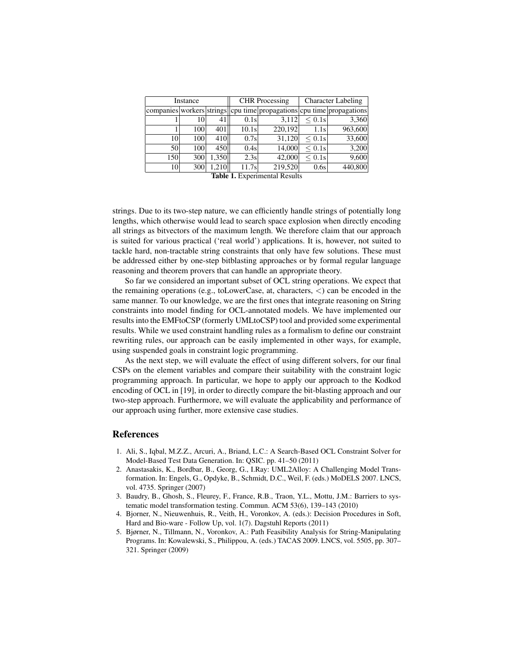| Instance |     |       | <b>CHR</b> Processing |                                                                       | <b>Character Labeling</b> |         |
|----------|-----|-------|-----------------------|-----------------------------------------------------------------------|---------------------------|---------|
|          |     |       |                       | companies workers strings cpu time propagations cpu time propagations |                           |         |
|          | 10  | 41    | 0.1s                  | 3.112                                                                 | $\leq 0.1$ s              | 3,360   |
|          | 100 | 401   | 10.1s                 | 220,192                                                               | 1.1s                      | 963,600 |
| 10       | 100 | 410   | 0.7s                  | 31,120                                                                | $\leq 0.1$ s              | 33,600  |
| 50       | 100 | 450   | 0.4s                  | 14,000                                                                | $\leq 0.1$ s              | 3,200   |
| 150      | 300 | 1,350 | 2.3s                  | 42,000                                                                | $\leq 0.1$ s              | 9,600   |
| 10       | 300 | .210  | 11.7s                 | 219,520<br>$-$                                                        | 0.6s                      | 440,800 |

Table 1. Experimental Results

strings. Due to its two-step nature, we can efficiently handle strings of potentially long lengths, which otherwise would lead to search space explosion when directly encoding all strings as bitvectors of the maximum length. We therefore claim that our approach is suited for various practical ('real world') applications. It is, however, not suited to tackle hard, non-tractable string constraints that only have few solutions. These must be addressed either by one-step bitblasting approaches or by formal regular language reasoning and theorem provers that can handle an appropriate theory.

So far we considered an important subset of OCL string operations. We expect that the remaining operations (e.g., to LowerCase, at, characters,  $\langle$ ) can be encoded in the same manner. To our knowledge, we are the first ones that integrate reasoning on String constraints into model finding for OCL-annotated models. We have implemented our results into the EMFtoCSP (formerly UMLtoCSP) tool and provided some experimental results. While we used constraint handling rules as a formalism to define our constraint rewriting rules, our approach can be easily implemented in other ways, for example, using suspended goals in constraint logic programming.

As the next step, we will evaluate the effect of using different solvers, for our final CSPs on the element variables and compare their suitability with the constraint logic programming approach. In particular, we hope to apply our approach to the Kodkod encoding of OCL in [19], in order to directly compare the bit-blasting approach and our two-step approach. Furthermore, we will evaluate the applicability and performance of our approach using further, more extensive case studies.

#### References

- 1. Ali, S., Iqbal, M.Z.Z., Arcuri, A., Briand, L.C.: A Search-Based OCL Constraint Solver for Model-Based Test Data Generation. In: QSIC. pp. 41–50 (2011)
- 2. Anastasakis, K., Bordbar, B., Georg, G., I.Ray: UML2Alloy: A Challenging Model Transformation. In: Engels, G., Opdyke, B., Schmidt, D.C., Weil, F. (eds.) MoDELS 2007. LNCS, vol. 4735. Springer (2007)
- 3. Baudry, B., Ghosh, S., Fleurey, F., France, R.B., Traon, Y.L., Mottu, J.M.: Barriers to systematic model transformation testing. Commun. ACM 53(6), 139–143 (2010)
- 4. Bjorner, N., Nieuwenhuis, R., Veith, H., Voronkov, A. (eds.): Decision Procedures in Soft, Hard and Bio-ware - Follow Up, vol. 1(7). Dagstuhl Reports (2011)
- 5. Bjørner, N., Tillmann, N., Voronkov, A.: Path Feasibility Analysis for String-Manipulating Programs. In: Kowalewski, S., Philippou, A. (eds.) TACAS 2009. LNCS, vol. 5505, pp. 307– 321. Springer (2009)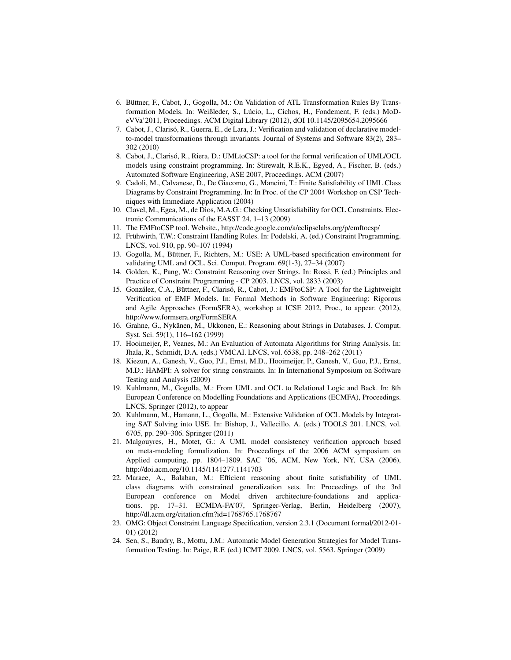- 6. Büttner, F., Cabot, J., Gogolla, M.: On Validation of ATL Transformation Rules By Transformation Models. In: Weißleder, S., Lúcio, L., Cichos, H., Fondement, F. (eds.) MoDeVVa'2011, Proceedings. ACM Digital Library (2012), dOI 10.1145/2095654.2095666
- 7. Cabot, J., Clarisó, R., Guerra, E., de Lara, J.: Verification and validation of declarative modelto-model transformations through invariants. Journal of Systems and Software 83(2), 283– 302 (2010)
- 8. Cabot, J., Clarisó, R., Riera, D.: UMLtoCSP: a tool for the formal verification of UML/OCL models using constraint programming. In: Stirewalt, R.E.K., Egyed, A., Fischer, B. (eds.) Automated Software Engineering, ASE 2007, Proceedings. ACM (2007)
- 9. Cadoli, M., Calvanese, D., De Giacomo, G., Mancini, T.: Finite Satisfiability of UML Class Diagrams by Constraint Programming. In: In Proc. of the CP 2004 Workshop on CSP Techniques with Immediate Application (2004)
- 10. Clavel, M., Egea, M., de Dios, M.A.G.: Checking Unsatisfiability for OCL Constraints. Electronic Communications of the EASST 24, 1–13 (2009)
- 11. The EMFtoCSP tool. Website., http://code.google.com/a/eclipselabs.org/p/emftocsp/
- 12. Frühwirth, T.W.: Constraint Handling Rules. In: Podelski, A. (ed.) Constraint Programming. LNCS, vol. 910, pp. 90–107 (1994)
- 13. Gogolla, M., Büttner, F., Richters, M.: USE: A UML-based specification environment for validating UML and OCL. Sci. Comput. Program. 69(1-3), 27–34 (2007)
- 14. Golden, K., Pang, W.: Constraint Reasoning over Strings. In: Rossi, F. (ed.) Principles and Practice of Constraint Programming - CP 2003. LNCS, vol. 2833 (2003)
- 15. González, C.A., Büttner, F., Clarisó, R., Cabot, J.: EMFtoCSP: A Tool for the Lightweight Verification of EMF Models. In: Formal Methods in Software Engineering: Rigorous and Agile Approaches (FormSERA), workshop at ICSE 2012, Proc., to appear. (2012), http://www.formsera.org/FormSERA
- 16. Grahne, G., Nykänen, M., Ukkonen, E.: Reasoning about Strings in Databases. J. Comput. Syst. Sci. 59(1), 116–162 (1999)
- 17. Hooimeijer, P., Veanes, M.: An Evaluation of Automata Algorithms for String Analysis. In: Jhala, R., Schmidt, D.A. (eds.) VMCAI. LNCS, vol. 6538, pp. 248–262 (2011)
- 18. Kiezun, A., Ganesh, V., Guo, P.J., Ernst, M.D., Hooimeijer, P., Ganesh, V., Guo, P.J., Ernst, M.D.: HAMPI: A solver for string constraints. In: In International Symposium on Software Testing and Analysis (2009)
- 19. Kuhlmann, M., Gogolla, M.: From UML and OCL to Relational Logic and Back. In: 8th European Conference on Modelling Foundations and Applications (ECMFA), Proceedings. LNCS, Springer (2012), to appear
- 20. Kuhlmann, M., Hamann, L., Gogolla, M.: Extensive Validation of OCL Models by Integrating SAT Solving into USE. In: Bishop, J., Vallecillo, A. (eds.) TOOLS 201. LNCS, vol. 6705, pp. 290–306. Springer (2011)
- 21. Malgouyres, H., Motet, G.: A UML model consistency verification approach based on meta-modeling formalization. In: Proceedings of the 2006 ACM symposium on Applied computing. pp. 1804–1809. SAC '06, ACM, New York, NY, USA (2006), http://doi.acm.org/10.1145/1141277.1141703
- 22. Maraee, A., Balaban, M.: Efficient reasoning about finite satisfiability of UML class diagrams with constrained generalization sets. In: Proceedings of the 3rd European conference on Model driven architecture-foundations and applications. pp. 17–31. ECMDA-FA'07, Springer-Verlag, Berlin, Heidelberg (2007), http://dl.acm.org/citation.cfm?id=1768765.1768767
- 23. OMG: Object Constraint Language Specification, version 2.3.1 (Document formal/2012-01- 01) (2012)
- 24. Sen, S., Baudry, B., Mottu, J.M.: Automatic Model Generation Strategies for Model Transformation Testing. In: Paige, R.F. (ed.) ICMT 2009. LNCS, vol. 5563. Springer (2009)